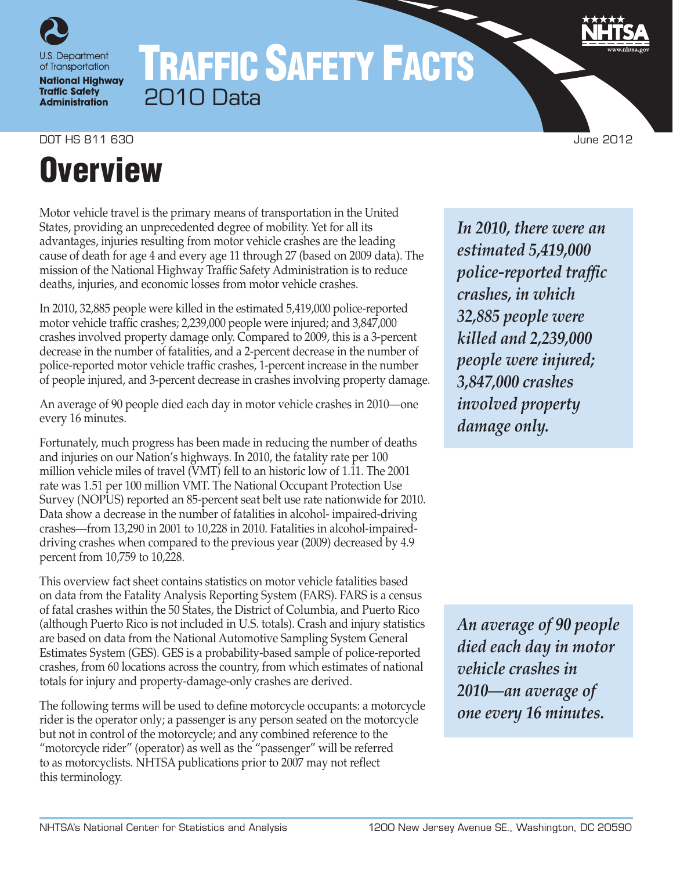

# TRAFFIC SAFETY FACTS 2010 Data

### DOT HS 811 630 June 2012

# **Overview**

Motor vehicle travel is the primary means of transportation in the United States, providing an unprecedented degree of mobility. Yet for all its advantages, injuries resulting from motor vehicle crashes are the leading cause of death for age 4 and every age 11 through 27 (based on 2009 data). The mission of the National Highway Traffic Safety Administration is to reduce deaths, injuries, and economic losses from motor vehicle crashes.

In 2010, 32,885 people were killed in the estimated 5,419,000 police-reported motor vehicle traffic crashes; 2,239,000 people were injured; and 3,847,000 crashes involved property damage only. Compared to 2009, this is a 3-percent decrease in the number of fatalities, and a 2-percent decrease in the number of police-reported motor vehicle traffic crashes, 1-percent increase in the number of people injured, and 3-percent decrease in crashes involving property damage.

An average of 90 people died each day in motor vehicle crashes in 2010—one every 16 minutes.

Fortunately, much progress has been made in reducing the number of deaths and injuries on our Nation's highways. In 2010, the fatality rate per 100 million vehicle miles of travel (VMT) fell to an historic low of 1.11. The 2001 rate was 1.51 per 100 million VMT. The National Occupant Protection Use Survey (NOPUS) reported an 85-percent seat belt use rate nationwide for 2010. Data show a decrease in the number of fatalities in alcohol- impaired-driving crashes—from 13,290 in 2001 to 10,228 in 2010. Fatalities in alcohol-impaireddriving crashes when compared to the previous year (2009) decreased by 4.9 percent from 10,759 to 10,228.

This overview fact sheet contains statistics on motor vehicle fatalities based on data from the Fatality Analysis Reporting System (FARS). FARS is a census of fatal crashes within the 50 States, the District of Columbia, and Puerto Rico (although Puerto Rico is not included in U.S. totals). Crash and injury statistics are based on data from the National Automotive Sampling System General Estimates System (GES). GES is a probability-based sample of police-reported crashes, from 60 locations across the country, from which estimates of national totals for injury and property-damage-only crashes are derived.

The following terms will be used to define motorcycle occupants: a motorcycle rider is the operator only; a passenger is any person seated on the motorcycle but not in control of the motorcycle; and any combined reference to the "motorcycle rider" (operator) as well as the "passenger" will be referred to as motorcyclists. NHTSA publications prior to 2007 may not reflect this terminology.

*In 2010, there were an estimated 5,419,000 police-reported traffic crashes, in which 32,885 people were killed and 2,239,000 people were injured; 3,847,000 crashes involved property damage only.*

*An average of 90 people died each day in motor vehicle crashes in 2010—an average of one every 16 minutes.*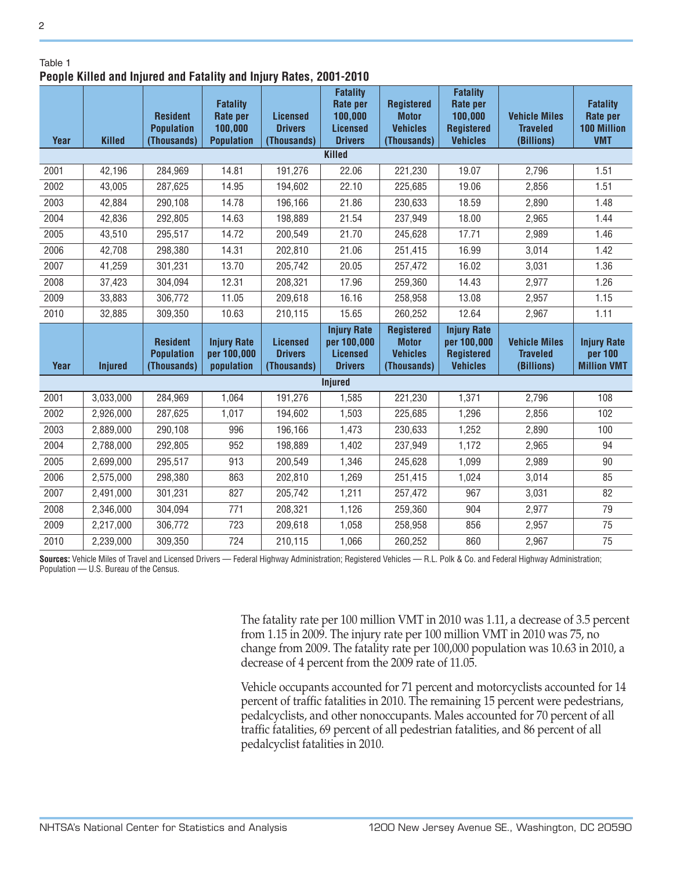| ahl<br>۳ |  |
|----------|--|

2

## **People Killed and Injured and Fatality and Injury Rates, 2001-2010**

| Year          | <b>Killed</b>  | <b>Resident</b><br><b>Population</b><br>(Thousands) | <b>Fatality</b><br><b>Rate per</b><br>100,000<br><b>Population</b> | <b>Licensed</b><br><b>Drivers</b><br>(Thousands) | <b>Fatality</b><br><b>Rate per</b><br>100,000<br><b>Licensed</b><br><b>Drivers</b> | <b>Registered</b><br><b>Motor</b><br><b>Vehicles</b><br>(Thousands) | <b>Fatality</b><br>Rate per<br>100,000<br><b>Registered</b><br><b>Vehicles</b> | <b>Vehicle Miles</b><br><b>Traveled</b><br>(Billions) | <b>Fatality</b><br><b>Rate per</b><br><b>100 Million</b><br><b>VMT</b> |  |  |
|---------------|----------------|-----------------------------------------------------|--------------------------------------------------------------------|--------------------------------------------------|------------------------------------------------------------------------------------|---------------------------------------------------------------------|--------------------------------------------------------------------------------|-------------------------------------------------------|------------------------------------------------------------------------|--|--|
| <b>Killed</b> |                |                                                     |                                                                    |                                                  |                                                                                    |                                                                     |                                                                                |                                                       |                                                                        |  |  |
| 2001          | 42,196         | 284,969                                             | 14.81                                                              | 191,276                                          | 22.06                                                                              | 221,230                                                             | 19.07                                                                          | 2,796                                                 | 1.51                                                                   |  |  |
| 2002          | 43,005         | 287,625                                             | 14.95                                                              | 194,602                                          | 22.10                                                                              | 225,685                                                             | 19.06                                                                          | 2,856                                                 | 1.51                                                                   |  |  |
| 2003          | 42,884         | 290,108                                             | 14.78                                                              | 196,166                                          | 21.86                                                                              | 230,633                                                             | 18.59                                                                          | 2,890                                                 | 1.48                                                                   |  |  |
| 2004          | 42,836         | 292,805                                             | 14.63                                                              | 198,889                                          | 21.54                                                                              | 237,949                                                             | 18.00                                                                          | 2,965                                                 | 1.44                                                                   |  |  |
| 2005          | 43,510         | 295,517                                             | 14.72                                                              | 200,549                                          | 21.70                                                                              | 245,628                                                             | 17.71                                                                          | 2,989                                                 | 1.46                                                                   |  |  |
| 2006          | 42,708         | 298,380                                             | 14.31                                                              | 202,810                                          | 21.06                                                                              | 251,415                                                             | 16.99                                                                          | 3,014                                                 | 1.42                                                                   |  |  |
| 2007          | 41,259         | 301,231                                             | 13.70                                                              | 205,742                                          | 20.05                                                                              | 257,472                                                             | 16.02                                                                          | 3,031                                                 | 1.36                                                                   |  |  |
| 2008          | 37,423         | 304,094                                             | 12.31                                                              | 208,321                                          | 17.96                                                                              | 259,360                                                             | 14.43                                                                          | 2,977                                                 | 1.26                                                                   |  |  |
| 2009          | 33,883         | 306,772                                             | 11.05                                                              | 209,618                                          | 16.16                                                                              | 258,958                                                             | 13.08                                                                          | 2,957                                                 | 1.15                                                                   |  |  |
| 2010          | 32,885         | 309,350                                             | 10.63                                                              | 210,115                                          | 15.65                                                                              | 260,252                                                             | 12.64                                                                          | 2,967                                                 | 1.11                                                                   |  |  |
| Year          | <b>Injured</b> | <b>Resident</b><br><b>Population</b><br>(Thousands) | <b>Injury Rate</b><br>per 100,000<br>population                    | <b>Licensed</b><br><b>Drivers</b><br>(Thousands) | <b>Injury Rate</b><br>per 100,000<br><b>Licensed</b><br><b>Drivers</b>             | <b>Registered</b><br><b>Motor</b><br><b>Vehicles</b><br>(Thousands) | <b>Injury Rate</b><br>per 100,000<br><b>Registered</b><br><b>Vehicles</b>      | <b>Vehicle Miles</b><br><b>Traveled</b><br>(Billions) | <b>Injury Rate</b><br>per 100<br><b>Million VMT</b>                    |  |  |
|               |                |                                                     |                                                                    |                                                  | <b>Injured</b>                                                                     |                                                                     |                                                                                |                                                       |                                                                        |  |  |
| 2001          | 3,033,000      | 284,969                                             | 1,064                                                              | 191,276                                          | 1,585                                                                              | 221,230                                                             | 1,371                                                                          | 2,796                                                 | 108                                                                    |  |  |
| 2002          | 2,926,000      | 287,625                                             | 1,017                                                              | 194,602                                          | 1,503                                                                              | 225,685                                                             | 1,296                                                                          | 2,856                                                 | 102                                                                    |  |  |
| 2003          | 2,889,000      | 290,108                                             | 996                                                                | 196,166                                          | 1,473                                                                              | 230,633                                                             | 1,252                                                                          | 2,890                                                 | 100                                                                    |  |  |
| 2004          | 2,788,000      | 292,805                                             | 952                                                                | 198,889                                          | 1,402                                                                              | 237,949                                                             | 1,172                                                                          | 2,965                                                 | 94                                                                     |  |  |
| 2005          | 2,699,000      | 295,517                                             | 913                                                                | 200,549                                          | 1,346                                                                              | 245,628                                                             | 1,099                                                                          | 2,989                                                 | 90                                                                     |  |  |
| 2006          | 2,575,000      | 298,380                                             | 863                                                                | 202,810                                          | 1,269                                                                              | 251,415                                                             | 1,024                                                                          | 3,014                                                 | 85                                                                     |  |  |
| 2007          | 2,491,000      | 301,231                                             | 827                                                                | 205,742                                          | 1,211                                                                              | 257,472                                                             | 967                                                                            | 3,031                                                 | 82                                                                     |  |  |
| 2008          | 2,346,000      | 304,094                                             | 771                                                                | 208,321                                          | 1,126                                                                              | 259,360                                                             | 904                                                                            | 2,977                                                 | 79                                                                     |  |  |
| 2009          | 2,217,000      | 306,772                                             | 723                                                                | 209,618                                          | 1,058                                                                              | 258,958                                                             | 856                                                                            | 2,957                                                 | 75                                                                     |  |  |
| 2010          | 2,239,000      | 309,350                                             | 724                                                                | 210,115                                          | 1,066                                                                              | 260,252                                                             | 860                                                                            | 2,967                                                 | 75                                                                     |  |  |

**Sources:** Vehicle Miles of Travel and Licensed Drivers — Federal Highway Administration; Registered Vehicles — R.L. Polk & Co. and Federal Highway Administration; Population — U.S. Bureau of the Census.

> The fatality rate per 100 million VMT in 2010 was 1.11, a decrease of 3.5 percent from 1.15 in 2009. The injury rate per 100 million VMT in 2010 was 75, no change from 2009. The fatality rate per 100,000 population was 10.63 in 2010, a decrease of 4 percent from the 2009 rate of 11.05.

> Vehicle occupants accounted for 71 percent and motorcyclists accounted for 14 percent of traffic fatalities in 2010. The remaining 15 percent were pedestrians, pedalcyclists, and other nonoccupants. Males accounted for 70 percent of all traffic fatalities, 69 percent of all pedestrian fatalities, and 86 percent of all pedalcyclist fatalities in 2010.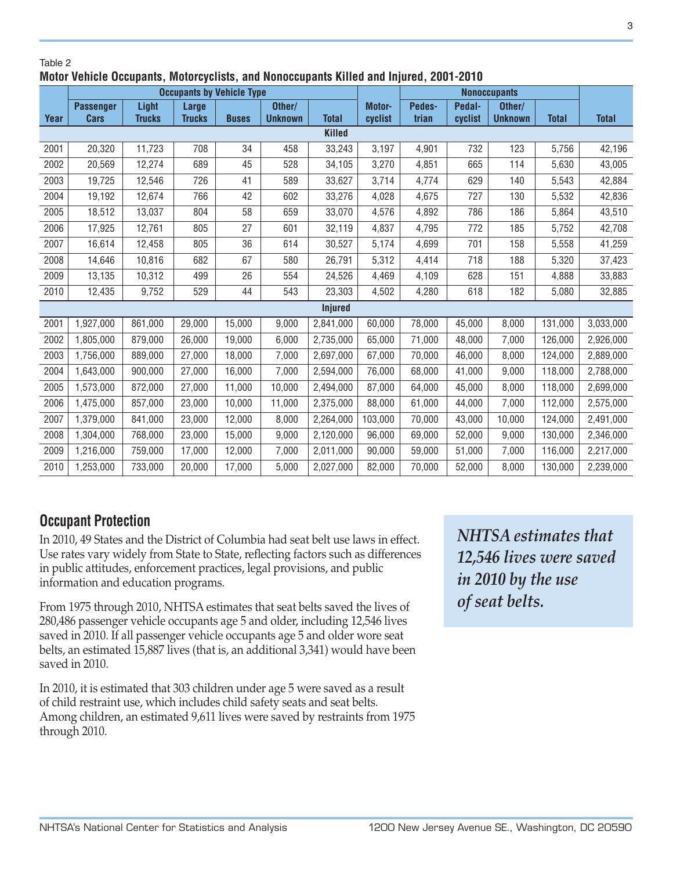#### Table 2 **Motor Vehicle Occupants, Motorcyclists, and Nonoccupants Killed and Injured, 2001-2010**

|      | <b>Occupants by Vehicle Type</b> |               |               |              |                |                |         | <b>Nonoccupants</b> |         |                |              |              |
|------|----------------------------------|---------------|---------------|--------------|----------------|----------------|---------|---------------------|---------|----------------|--------------|--------------|
|      | <b>Passenger</b>                 | Light         | <b>Large</b>  |              | Other/         |                | Motor-  | Pedes-              | Pedal-  | Other/         |              |              |
| Year | Cars                             | <b>Trucks</b> | <b>Trucks</b> | <b>Buses</b> | <b>Unknown</b> | <b>Total</b>   | cyclist | trian               | cyclist | <b>Unknown</b> | <b>Total</b> | <b>Total</b> |
|      | Killed                           |               |               |              |                |                |         |                     |         |                |              |              |
| 2001 | 20,320                           | 11,723        | 708           | 34           | 458            | 33,243         | 3,197   | 4,901               | 732     | 123            | 5,756        | 42,196       |
| 2002 | 20,569                           | 12,274        | 689           | 45           | 528            | 34,105         | 3,270   | 4,851               | 665     | 114            | 5,630        | 43,005       |
| 2003 | 19,725                           | 12,546        | 726           | 41           | 589            | 33,627         | 3,714   | 4,774               | 629     | 140            | 5,543        | 42,884       |
| 2004 | 19,192                           | 12,674        | 766           | 42           | 602            | 33,276         | 4,028   | 4,675               | 727     | 130            | 5,532        | 42,836       |
| 2005 | 18,512                           | 13,037        | 804           | 58           | 659            | 33,070         | 4,576   | 4,892               | 786     | 186            | 5,864        | 43,510       |
| 2006 | 17,925                           | 12,761        | 805           | 27           | 601            | 32,119         | 4,837   | 4,795               | 772     | 185            | 5,752        | 42,708       |
| 2007 | 16,614                           | 12,458        | 805           | 36           | 614            | 30,527         | 5,174   | 4,699               | 701     | 158            | 5,558        | 41,259       |
| 2008 | 14,646                           | 10,816        | 682           | 67           | 580            | 26,791         | 5,312   | 4,414               | 718     | 188            | 5,320        | 37,423       |
| 2009 | 13,135                           | 10,312        | 499           | 26           | 554            | 24,526         | 4,469   | 4,109               | 628     | 151            | 4,888        | 33,883       |
| 2010 | 12,435                           | 9,752         | 529           | 44           | 543            | 23,303         | 4,502   | 4,280               | 618     | 182            | 5,080        | 32,885       |
|      |                                  |               |               |              |                | <b>Injured</b> |         |                     |         |                |              |              |
| 2001 | 1,927,000                        | 861,000       | 29,000        | 15,000       | 9,000          | 2,841,000      | 60,000  | 78,000              | 45,000  | 8,000          | 131,000      | 3,033,000    |
| 2002 | 1,805,000                        | 879,000       | 26,000        | 19,000       | 6,000          | 2,735,000      | 65,000  | 71,000              | 48,000  | 7,000          | 126,000      | 2,926,000    |
| 2003 | 1,756,000                        | 889,000       | 27,000        | 18,000       | 7,000          | 2,697,000      | 67,000  | 70,000              | 46,000  | 8,000          | 124,000      | 2,889,000    |
| 2004 | 1,643,000                        | 900,000       | 27,000        | 16,000       | 7,000          | 2,594,000      | 76,000  | 68,000              | 41,000  | 9,000          | 118,000      | 2,788,000    |
| 2005 | 1,573,000                        | 872,000       | 27,000        | 11,000       | 10,000         | 2,494,000      | 87,000  | 64,000              | 45,000  | 8,000          | 118,000      | 2,699,000    |
| 2006 | 1,475,000                        | 857,000       | 23,000        | 10,000       | 11,000         | 2,375,000      | 88,000  | 61,000              | 44,000  | 7,000          | 112,000      | 2,575,000    |
| 2007 | 1,379,000                        | 841,000       | 23,000        | 12,000       | 8,000          | 2,264,000      | 103,000 | 70,000              | 43,000  | 10,000         | 124,000      | 2,491,000    |
| 2008 | 1,304,000                        | 768,000       | 23,000        | 15,000       | 9,000          | 2,120,000      | 96,000  | 69,000              | 52,000  | 9,000          | 130,000      | 2,346,000    |
| 2009 | 1,216,000                        | 759,000       | 17,000        | 12,000       | 7,000          | 2,011,000      | 90,000  | 59,000              | 51,000  | 7,000          | 116,000      | 2,217,000    |
| 2010 | 1,253,000                        | 733,000       | 20,000        | 17,000       | 5,000          | 2,027,000      | 82,000  | 70,000              | 52,000  | 8,000          | 130,000      | 2,239,000    |

# **Occupant Protection**

In 2010, 49 States and the District of Columbia had seat belt use laws in effect. Use rates vary widely from State to State, reflecting factors such as differences in public attitudes, enforcement practices, legal provisions, and public information and education programs.

From 1975 through 2010, NHTSA estimates that seat belts saved the lives of 280,486 passenger vehicle occupants age 5 and older, including 12,546 lives saved in 2010. If all passenger vehicle occupants age 5 and older wore seat belts, an estimated 15,887 lives (that is, an additional 3,341) would have been saved in 2010.

In 2010, it is estimated that 303 children under age 5 were saved as a result of child restraint use, which includes child safety seats and seat belts. Among children, an estimated 9,611 lives were saved by restraints from 1975 through 2010.

*NHTSA estimates that 12,546 lives were saved in 2010 by the use of seat belts.*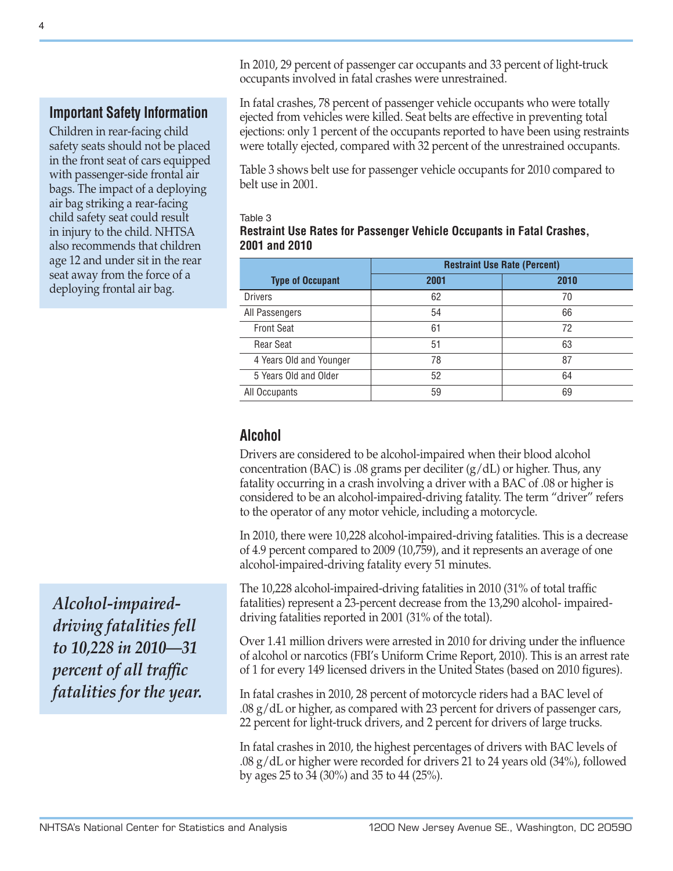In 2010, 29 percent of passenger car occupants and 33 percent of light-truck occupants involved in fatal crashes were unrestrained.

**Important Safety Information**

Children in rear-facing child safety seats should not be placed in the front seat of cars equipped with passenger-side frontal air bags. The impact of a deploying air bag striking a rear-facing child safety seat could result in injury to the child. NHTSA also recommends that children age 12 and under sit in the rear seat away from the force of a deploying frontal air bag.

*Alcohol-impaireddriving fatalities fell to 10,228 in 2010—31 percent of all traffic fatalities for the year.* In fatal crashes, 78 percent of passenger vehicle occupants who were totally ejected from vehicles were killed. Seat belts are effective in preventing total ejections: only 1 percent of the occupants reported to have been using restraints were totally ejected, compared with 32 percent of the unrestrained occupants.

Table 3 shows belt use for passenger vehicle occupants for 2010 compared to belt use in 2001.

#### Table 3 **Restraint Use Rates for Passenger Vehicle Occupants in Fatal Crashes, 2001 and 2010**

|                         | <b>Restraint Use Rate (Percent)</b> |      |  |  |  |
|-------------------------|-------------------------------------|------|--|--|--|
| <b>Type of Occupant</b> | 2001                                | 2010 |  |  |  |
| <b>Drivers</b>          | 62                                  | 70   |  |  |  |
| All Passengers          | 54                                  | 66   |  |  |  |
| <b>Front Seat</b>       | 61                                  | 72   |  |  |  |
| <b>Rear Seat</b>        | 51                                  | 63   |  |  |  |
| 4 Years Old and Younger | 78                                  | 87   |  |  |  |
| 5 Years Old and Older   | 52                                  | 64   |  |  |  |
| All Occupants           | 59                                  | 69   |  |  |  |

## **Alcohol**

Drivers are considered to be alcohol-impaired when their blood alcohol concentration (BAC) is .08 grams per deciliter  $(g/dL)$  or higher. Thus, any fatality occurring in a crash involving a driver with a BAC of .08 or higher is considered to be an alcohol-impaired-driving fatality. The term "driver" refers to the operator of any motor vehicle, including a motorcycle.

In 2010, there were 10,228 alcohol-impaired-driving fatalities. This is a decrease of 4.9 percent compared to 2009 (10,759), and it represents an average of one alcohol-impaired-driving fatality every 51 minutes.

The 10,228 alcohol-impaired-driving fatalities in 2010 (31% of total traffic fatalities) represent a 23-percent decrease from the 13,290 alcohol- impaireddriving fatalities reported in 2001 (31% of the total).

Over 1.41 million drivers were arrested in 2010 for driving under the influence of alcohol or narcotics (FBI's Uniform Crime Report, 2010). This is an arrest rate of 1 for every 149 licensed drivers in the United States (based on 2010 figures).

In fatal crashes in 2010, 28 percent of motorcycle riders had a BAC level of .08 g/dL or higher, as compared with 23 percent for drivers of passenger cars, 22 percent for light-truck drivers, and 2 percent for drivers of large trucks.

In fatal crashes in 2010, the highest percentages of drivers with BAC levels of .08 g/dL or higher were recorded for drivers 21 to 24 years old (34%), followed by ages 25 to 34 (30%) and 35 to 44 (25%).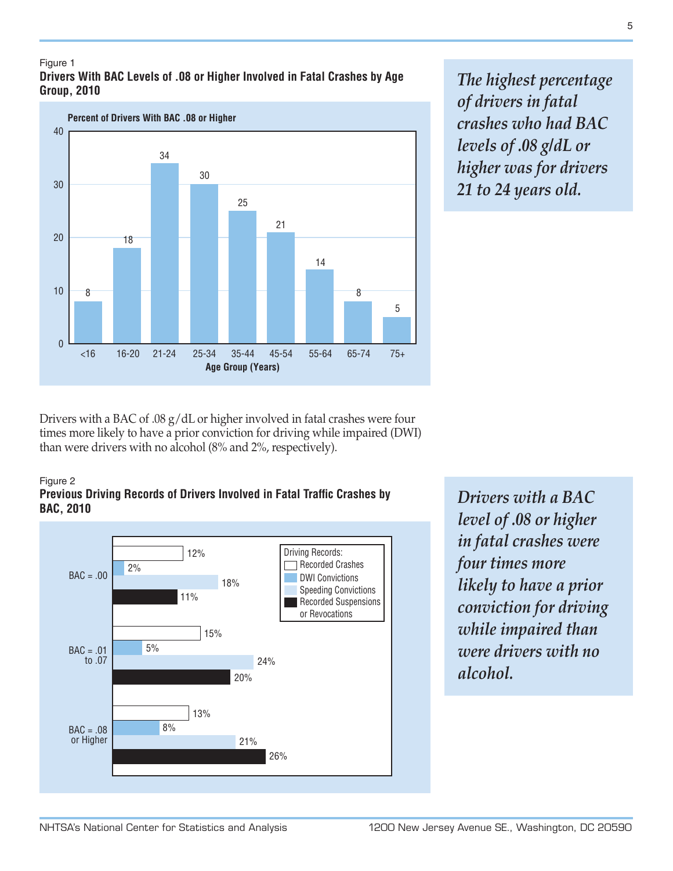#### Figure 1 **Drivers With BAC Levels of .08 or Higher Involved in Fatal Crashes by Age Group, 2010**



*The highest percentage of drivers in fatal crashes who had BAC levels of .08 g/dL or higher was for drivers 21 to 24 years old.*

Drivers with a BAC of .08 g/dL or higher involved in fatal crashes were four times more likely to have a prior conviction for driving while impaired (DWI) than were drivers with no alcohol (8% and 2%, respectively).

#### Figure 2

#### **Previous Driving Records of Drivers Involved in Fatal Traffic Crashes by BAC, 2010**



*Drivers with a BAC level of .08 or higher in fatal crashes were four times more likely to have a prior conviction for driving while impaired than were drivers with no alcohol.*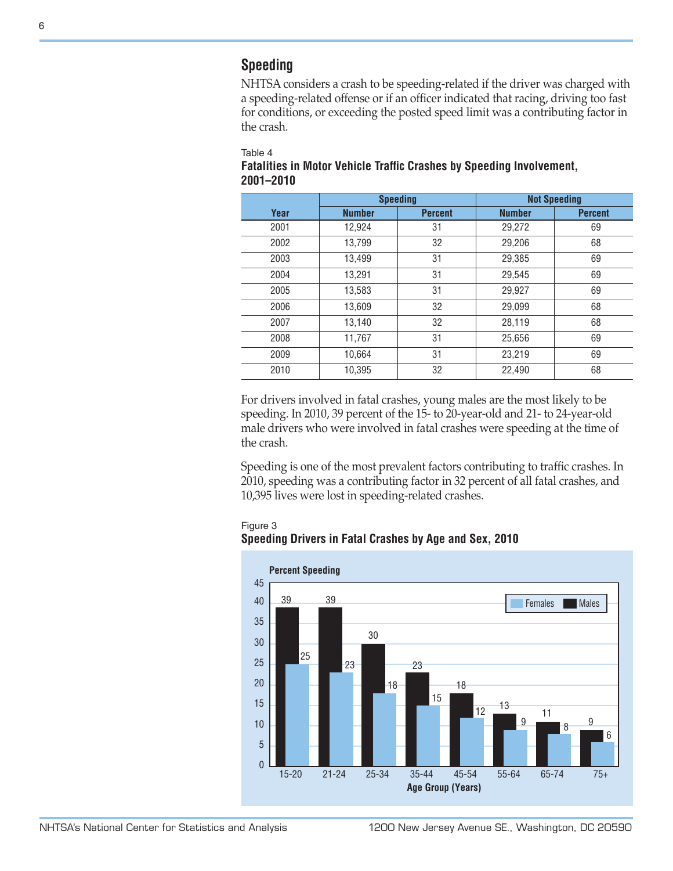## **Speeding**

NHTSA considers a crash to be speeding-related if the driver was charged with a speeding-related offense or if an officer indicated that racing, driving too fast for conditions, or exceeding the posted speed limit was a contributing factor in the crash.

Table 4

#### **Fatalities in Motor Vehicle Traffic Crashes by Speeding Involvement, 2001–2010**

|      | <b>Speeding</b> |                | <b>Not Speeding</b> |                |
|------|-----------------|----------------|---------------------|----------------|
| Year | <b>Number</b>   | <b>Percent</b> | <b>Number</b>       | <b>Percent</b> |
| 2001 | 12,924          | 31             | 29,272              | 69             |
| 2002 | 13,799          | 32             | 29,206              | 68             |
| 2003 | 13,499          | 31             | 29,385              | 69             |
| 2004 | 13,291          | 31             | 29,545              | 69             |
| 2005 | 13,583          | 31             | 29,927              | 69             |
| 2006 | 13,609          | 32             | 29,099              | 68             |
| 2007 | 13,140          | 32             | 28,119              | 68             |
| 2008 | 11.767          | 31             | 25.656              | 69             |
| 2009 | 10,664          | 31             | 23,219              | 69             |
| 2010 | 10,395          | 32             | 22,490              | 68             |

For drivers involved in fatal crashes, young males are the most likely to be speeding. In 2010, 39 percent of the 15- to 20-year-old and 21- to 24-year-old male drivers who were involved in fatal crashes were speeding at the time of the crash.

Speeding is one of the most prevalent factors contributing to traffic crashes. In 2010, speeding was a contributing factor in 32 percent of all fatal crashes, and 10,395 lives were lost in speeding-related crashes.

## Figure 3

## **Speeding Drivers in Fatal Crashes by Age and Sex, 2010**

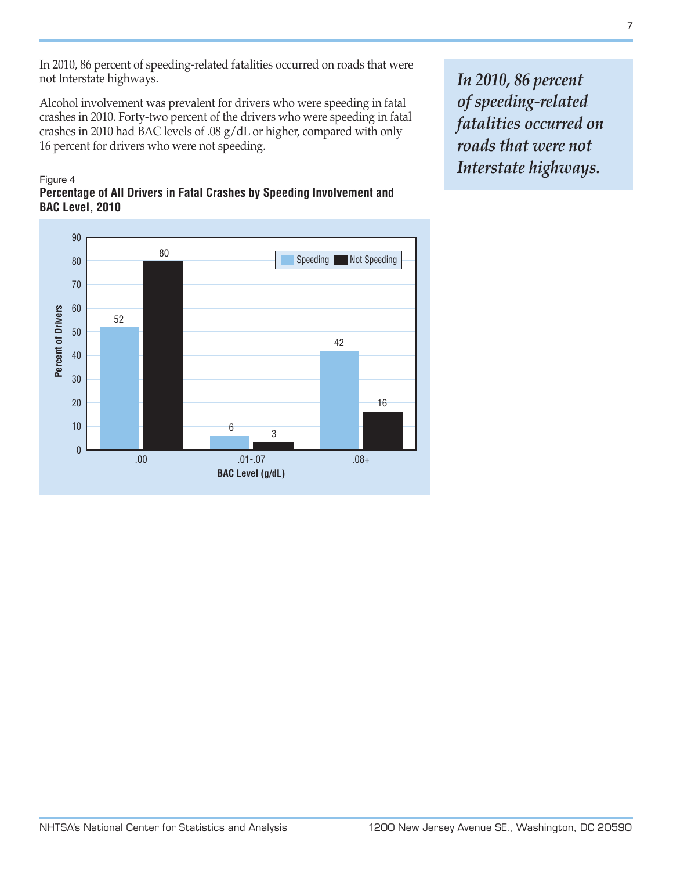In 2010, 86 percent of speeding-related fatalities occurred on roads that were not Interstate highways.

Alcohol involvement was prevalent for drivers who were speeding in fatal crashes in 2010. Forty-two percent of the drivers who were speeding in fatal crashes in 2010 had BAC levels of .08 g/dL or higher, compared with only 16 percent for drivers who were not speeding.

#### Figure 4 **Percentage of All Drivers in Fatal Crashes by Speeding Involvement and BAC Level, 2010**

*In 2010, 86 percent of speeding-related fatalities occurred on roads that were not Interstate highways.*

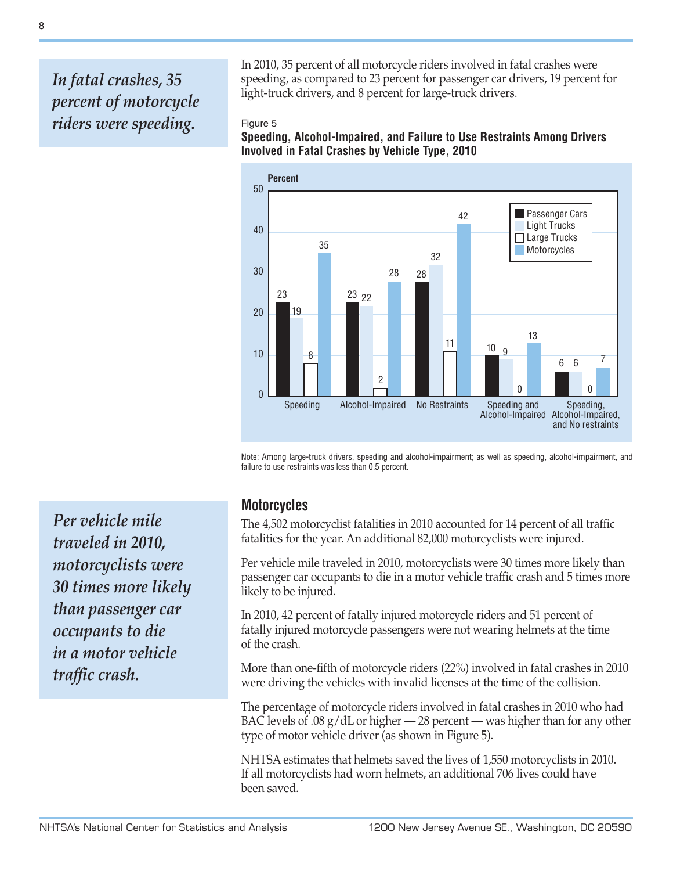# *In fatal crashes, 35 percent of motorcycle riders were speeding.*

In 2010, 35 percent of all motorcycle riders involved in fatal crashes were speeding, as compared to 23 percent for passenger car drivers, 19 percent for light-truck drivers, and 8 percent for large-truck drivers.

#### Figure 5

**Speeding, Alcohol-Impaired, and Failure to Use Restraints Among Drivers Involved in Fatal Crashes by Vehicle Type, 2010**



Note: Among large-truck drivers, speeding and alcohol-impairment; as well as speeding, alcohol-impairment, and failure to use restraints was less than 0.5 percent.

*Per vehicle mile traveled in 2010, motorcyclists were 30 times more likely than passenger car occupants to die in a motor vehicle traffic crash.*

## **Motorcycles**

The 4,502 motorcyclist fatalities in 2010 accounted for 14 percent of all traffic fatalities for the year. An additional 82,000 motorcyclists were injured.

Per vehicle mile traveled in 2010, motorcyclists were 30 times more likely than passenger car occupants to die in a motor vehicle traffic crash and 5 times more likely to be injured.

In 2010, 42 percent of fatally injured motorcycle riders and 51 percent of fatally injured motorcycle passengers were not wearing helmets at the time of the crash.

More than one-fifth of motorcycle riders (22%) involved in fatal crashes in 2010 were driving the vehicles with invalid licenses at the time of the collision.

The percentage of motorcycle riders involved in fatal crashes in 2010 who had BAC levels of .08  $g/dL$  or higher  $-28$  percent — was higher than for any other type of motor vehicle driver (as shown in Figure 5).

NHTSA estimates that helmets saved the lives of 1,550 motorcyclists in 2010. If all motorcyclists had worn helmets, an additional 706 lives could have been saved.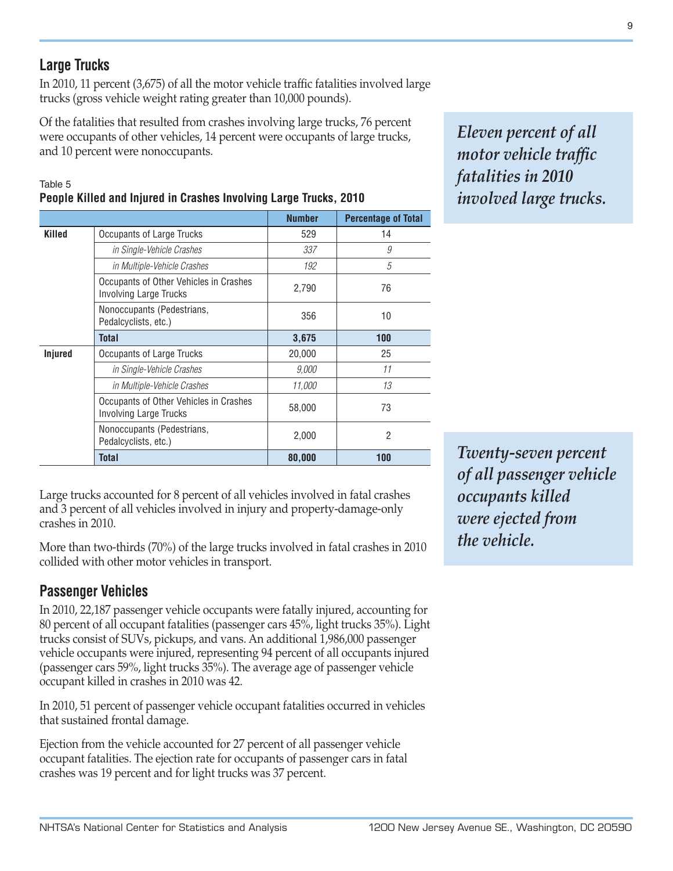In 2010, 11 percent (3,675) of all the motor vehicle traffic fatalities involved large trucks (gross vehicle weight rating greater than 10,000 pounds).

Of the fatalities that resulted from crashes involving large trucks, 76 percent were occupants of other vehicles, 14 percent were occupants of large trucks, and 10 percent were nonoccupants.

#### Table 5 **People Killed and Injured in Crashes Involving Large Trucks, 2010**

|                |                                                                         | <b>Number</b> | <b>Percentage of Total</b> |
|----------------|-------------------------------------------------------------------------|---------------|----------------------------|
| <b>Killed</b>  | Occupants of Large Trucks                                               | 529           | 14                         |
|                | in Single-Vehicle Crashes                                               | 337           | 9                          |
|                | in Multiple-Vehicle Crashes                                             | 192           | 5                          |
|                | Occupants of Other Vehicles in Crashes<br><b>Involving Large Trucks</b> | 2,790         | 76                         |
|                | Nonoccupants (Pedestrians,<br>Pedalcyclists, etc.)                      | 356           | 10                         |
|                | Total                                                                   | 3,675         | 100                        |
| <b>Injured</b> | Occupants of Large Trucks                                               | 20,000        | 25                         |
|                | in Single-Vehicle Crashes                                               | 9,000         | 11                         |
|                | in Multiple-Vehicle Crashes                                             | <i>11.000</i> | 13                         |
|                | Occupants of Other Vehicles in Crashes<br><b>Involving Large Trucks</b> | 58,000        | 73                         |
|                | Nonoccupants (Pedestrians,<br>Pedalcyclists, etc.)                      | 2,000         | $\overline{2}$             |
|                | <b>Total</b>                                                            | 80,000        | 100                        |

*Eleven percent of all motor vehicle traffic fatalities in 2010 involved large trucks.*

Large trucks accounted for 8 percent of all vehicles involved in fatal crashes and 3 percent of all vehicles involved in injury and property-damage-only crashes in 2010.

More than two-thirds (70%) of the large trucks involved in fatal crashes in 2010 collided with other motor vehicles in transport.

## **Passenger Vehicles**

In 2010, 22,187 passenger vehicle occupants were fatally injured, accounting for 80 percent of all occupant fatalities (passenger cars 45%, light trucks 35%). Light trucks consist of SUVs, pickups, and vans. An additional 1,986,000 passenger vehicle occupants were injured, representing 94 percent of all occupants injured (passenger cars 59%, light trucks 35%). The average age of passenger vehicle occupant killed in crashes in 2010 was 42.

In 2010, 51 percent of passenger vehicle occupant fatalities occurred in vehicles that sustained frontal damage.

Ejection from the vehicle accounted for 27 percent of all passenger vehicle occupant fatalities. The ejection rate for occupants of passenger cars in fatal crashes was 19 percent and for light trucks was 37 percent.

*Twenty-seven percent of all passenger vehicle occupants killed were ejected from the vehicle.*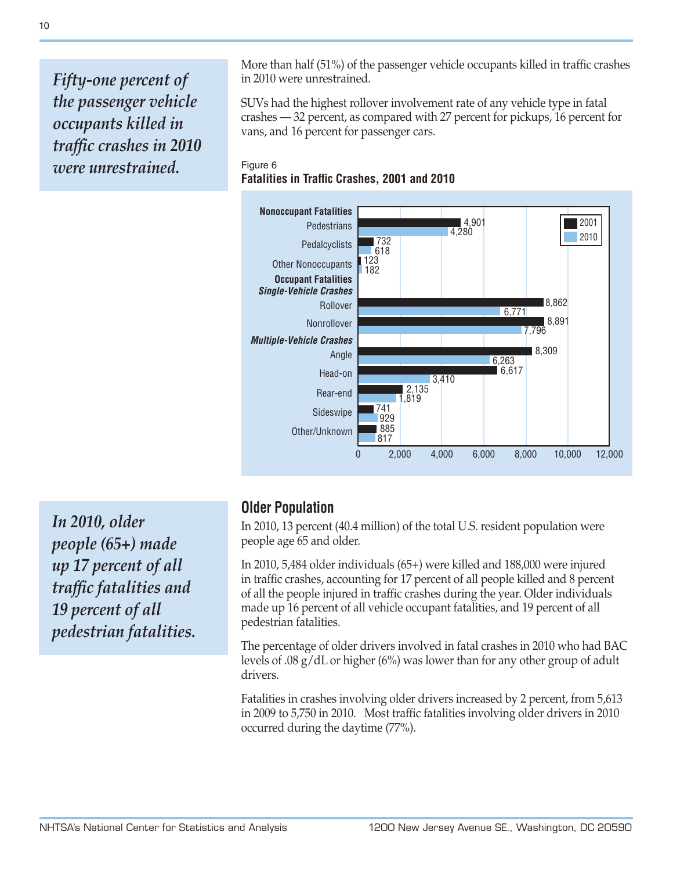*Fifty-one percent of the passenger vehicle occupants killed in traffic crashes in 2010 were unrestrained.*

More than half (51%) of the passenger vehicle occupants killed in traffic crashes in 2010 were unrestrained.

SUVs had the highest rollover involvement rate of any vehicle type in fatal crashes — 32 percent, as compared with 27 percent for pickups, 16 percent for vans, and 16 percent for passenger cars.

### Figure 6 **Fatalities in Traffic Crashes, 2001 and 2010**



*In 2010, older people (65+) made up 17 percent of all traffic fatalities and 19 percent of all pedestrian fatalities.*

## **Older Population**

In 2010, 13 percent (40.4 million) of the total U.S. resident population were people age 65 and older.

In 2010, 5,484 older individuals (65+) were killed and 188,000 were injured in traffic crashes, accounting for 17 percent of all people killed and 8 percent of all the people injured in traffic crashes during the year. Older individuals made up 16 percent of all vehicle occupant fatalities, and 19 percent of all pedestrian fatalities.

The percentage of older drivers involved in fatal crashes in 2010 who had BAC levels of .08 g/dL or higher (6%) was lower than for any other group of adult drivers.

Fatalities in crashes involving older drivers increased by 2 percent, from 5,613 in 2009 to 5,750 in 2010. Most traffic fatalities involving older drivers in 2010 occurred during the daytime (77%).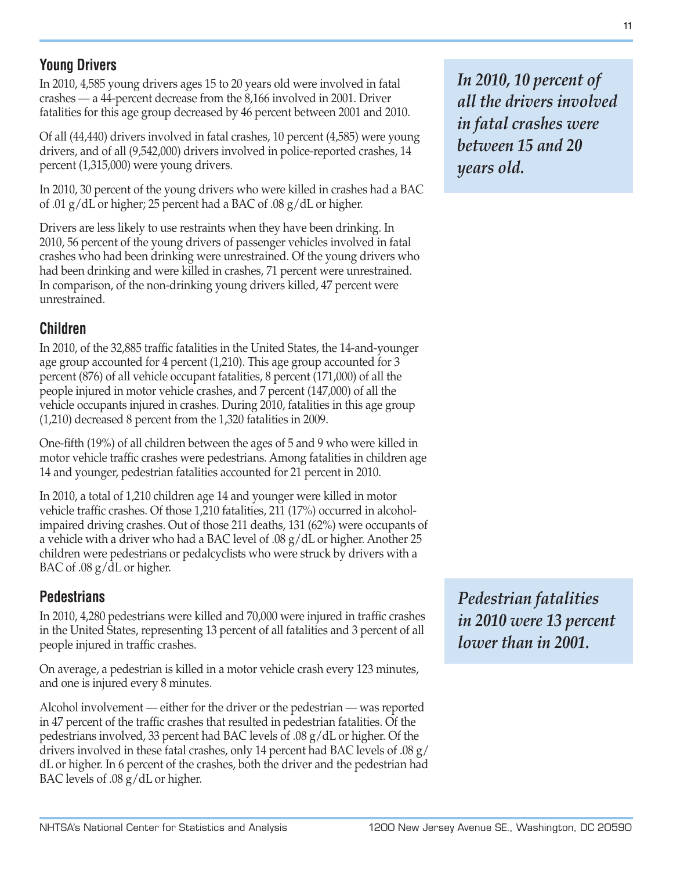# **Young Drivers**

In 2010, 4,585 young drivers ages 15 to 20 years old were involved in fatal crashes — a 44-percent decrease from the 8,166 involved in 2001. Driver fatalities for this age group decreased by 46 percent between 2001 and 2010.

Of all (44,440) drivers involved in fatal crashes, 10 percent (4,585) were young drivers, and of all (9,542,000) drivers involved in police-reported crashes, 14 percent (1,315,000) were young drivers.

In 2010, 30 percent of the young drivers who were killed in crashes had a BAC of .01 g/dL or higher; 25 percent had a BAC of .08 g/dL or higher.

Drivers are less likely to use restraints when they have been drinking. In 2010, 56 percent of the young drivers of passenger vehicles involved in fatal crashes who had been drinking were unrestrained. Of the young drivers who had been drinking and were killed in crashes, 71 percent were unrestrained. In comparison, of the non-drinking young drivers killed, 47 percent were unrestrained.

# **Children**

In 2010, of the 32,885 traffic fatalities in the United States, the 14-and-younger age group accounted for 4 percent (1,210). This age group accounted for 3 percent (876) of all vehicle occupant fatalities, 8 percent (171,000) of all the people injured in motor vehicle crashes, and 7 percent (147,000) of all the vehicle occupants injured in crashes. During 2010, fatalities in this age group (1,210) decreased 8 percent from the 1,320 fatalities in 2009.

One-fifth (19%) of all children between the ages of 5 and 9 who were killed in motor vehicle traffic crashes were pedestrians. Among fatalities in children age 14 and younger, pedestrian fatalities accounted for 21 percent in 2010.

In 2010, a total of 1,210 children age 14 and younger were killed in motor vehicle traffic crashes. Of those 1,210 fatalities, 211 (17%) occurred in alcoholimpaired driving crashes. Out of those 211 deaths, 131 (62%) were occupants of a vehicle with a driver who had a BAC level of .08 g/dL or higher. Another 25 children were pedestrians or pedalcyclists who were struck by drivers with a BAC of .08 g/dL or higher.

# **Pedestrians**

In 2010, 4,280 pedestrians were killed and 70,000 were injured in traffic crashes in the United States, representing 13 percent of all fatalities and 3 percent of all people injured in traffic crashes.

On average, a pedestrian is killed in a motor vehicle crash every 123 minutes, and one is injured every 8 minutes.

Alcohol involvement — either for the driver or the pedestrian — was reported in 47 percent of the traffic crashes that resulted in pedestrian fatalities. Of the pedestrians involved, 33 percent had BAC levels of .08 g/dL or higher. Of the drivers involved in these fatal crashes, only 14 percent had BAC levels of .08 g/ dL or higher. In 6 percent of the crashes, both the driver and the pedestrian had BAC levels of .08 g/dL or higher.

*In 2010, 10 percent of all the drivers involved in fatal crashes were between 15 and 20 years old.*

*Pedestrian fatalities in 2010 were 13 percent lower than in 2001.*